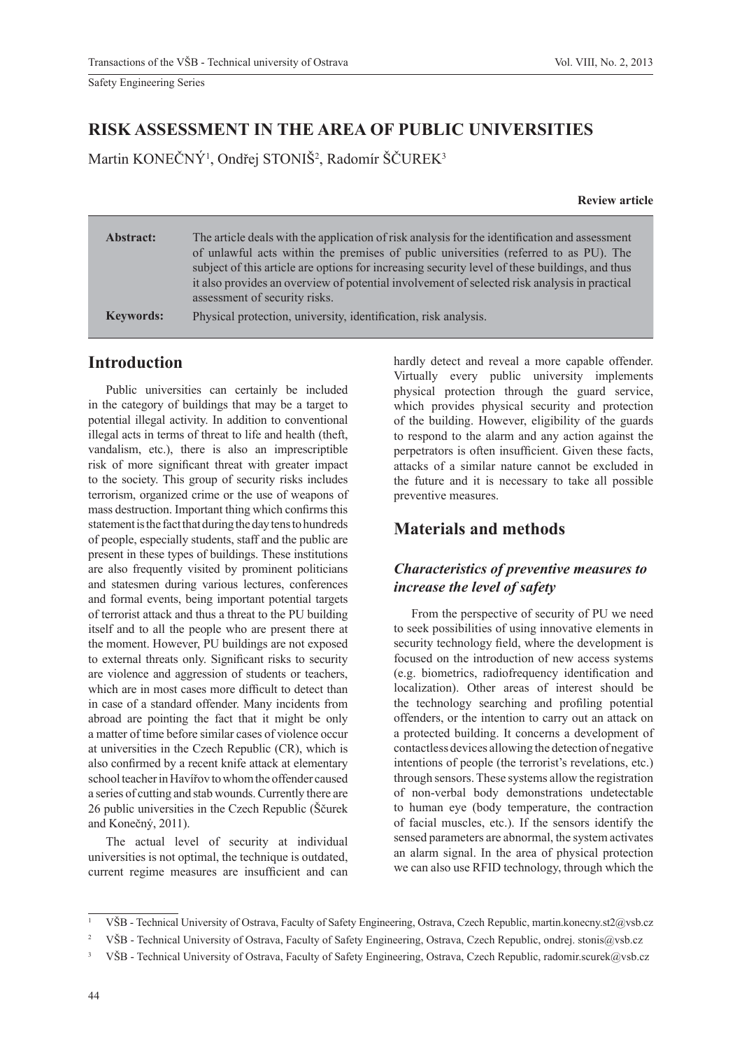# **RISK ASSESSMENT IN THE AREA OF PUBLIC UNIVERSITIES**

Martin KONEČNÝ<sup>1</sup>, Ondřej STONIŠ<sup>2</sup>, Radomír ŠČUREK<sup>3</sup>

**Review article**

| Abstract:        | The article deals with the application of risk analysis for the identification and assessment<br>of unlawful acts within the premises of public universities (referred to as PU). The<br>subject of this article are options for increasing security level of these buildings, and thus |
|------------------|-----------------------------------------------------------------------------------------------------------------------------------------------------------------------------------------------------------------------------------------------------------------------------------------|
|                  | it also provides an overview of potential involvement of selected risk analysis in practical<br>assessment of security risks.                                                                                                                                                           |
| <b>Keywords:</b> | Physical protection, university, identification, risk analysis.                                                                                                                                                                                                                         |

# **Introduction**

Public universities can certainly be included in the category of buildings that may be a target to potential illegal activity. In addition to conventional illegal acts in terms of threat to life and health (theft, vandalism, etc.), there is also an imprescriptible risk of more significant threat with greater impact to the society. This group of security risks includes terrorism, organized crime or the use of weapons of mass destruction. Important thing which confirms this statement is the fact that during the day tens to hundreds of people, especially students, staff and the public are present in these types of buildings. These institutions are also frequently visited by prominent politicians and statesmen during various lectures, conferences and formal events, being important potential targets of terrorist attack and thus a threat to the PU building itself and to all the people who are present there at the moment. However, PU buildings are not exposed to external threats only. Significant risks to security are violence and aggression of students or teachers, which are in most cases more difficult to detect than in case of a standard offender. Many incidents from abroad are pointing the fact that it might be only a matter of time before similar cases of violence occur at universities in the Czech Republic (CR), which is also confirmed by a recent knife attack at elementary school teacher in Havířov to whom the offender caused a series of cutting and stab wounds. Currently there are 26 public universities in the Czech Republic (Ščurek and Konečný, 2011).

The actual level of security at individual universities is not optimal, the technique is outdated, current regime measures are insufficient and can hardly detect and reveal a more capable offender. Virtually every public university implements physical protection through the guard service, which provides physical security and protection of the building. However, eligibility of the guards to respond to the alarm and any action against the perpetrators is often insufficient. Given these facts, attacks of a similar nature cannot be excluded in the future and it is necessary to take all possible preventive measures.

# **Materials and methods**

## *Characteristics of preventive measures to increase the level of safety*

From the perspective of security of PU we need to seek possibilities of using innovative elements in security technology field, where the development is focused on the introduction of new access systems (e.g. biometrics, radiofrequency identification and localization). Other areas of interest should be the technology searching and profiling potential offenders, or the intention to carry out an attack on a protected building. It concerns a development of contactless devices allowing the detection of negative intentions of people (the terrorist's revelations, etc.) through sensors. These systems allow the registration of non-verbal body demonstrations undetectable to human eye (body temperature, the contraction of facial muscles, etc.). If the sensors identify the sensed parameters are abnormal, the system activates an alarm signal. In the area of physical protection we can also use RFID technology, through which the

<sup>1</sup> VŠB - Technical University of Ostrava, Faculty of Safety Engineering, Ostrava, Czech Republic, martin.konecny.st2@vsb.cz

<sup>2</sup> VŠB - Technical University of Ostrava, Faculty of Safety Engineering, Ostrava, Czech Republic, ondrej. stonis@vsb.cz

<sup>3</sup> VŠB - Technical University of Ostrava, Faculty of Safety Engineering, Ostrava, Czech Republic, radomir.scurek@vsb.cz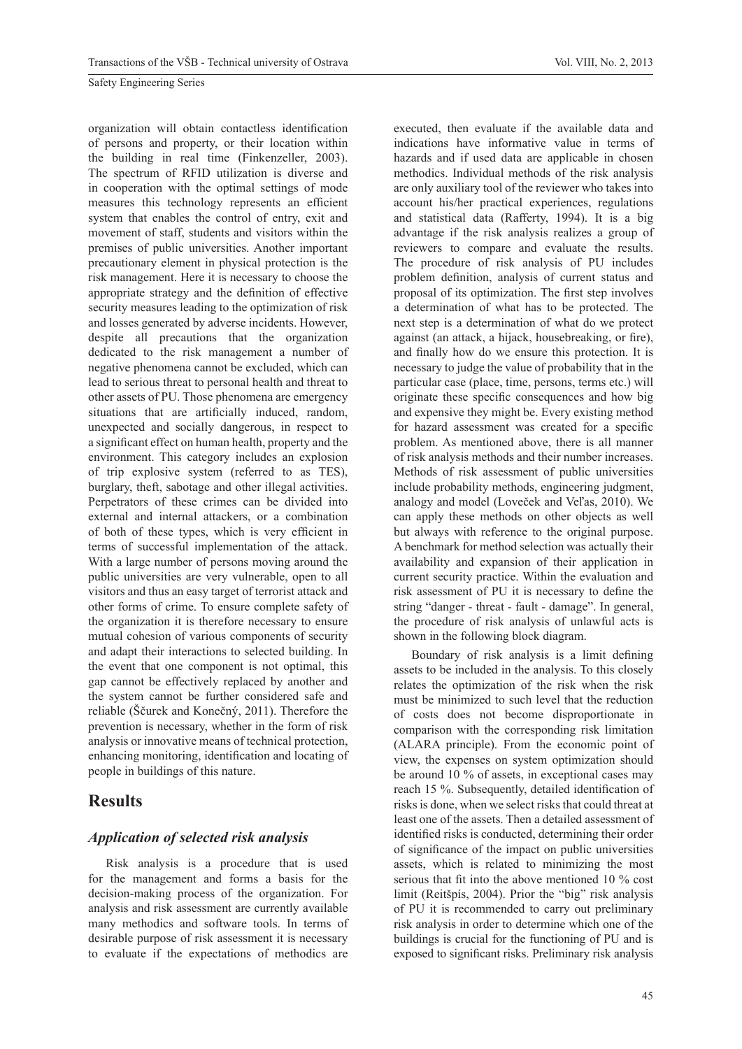organization will obtain contactless identification of persons and property, or their location within the building in real time (Finkenzeller, 2003). The spectrum of RFID utilization is diverse and in cooperation with the optimal settings of mode measures this technology represents an efficient system that enables the control of entry, exit and movement of staff, students and visitors within the premises of public universities. Another important precautionary element in physical protection is the risk management. Here it is necessary to choose the appropriate strategy and the definition of effective security measures leading to the optimization of risk and losses generated by adverse incidents. However, despite all precautions that the organization dedicated to the risk management a number of negative phenomena cannot be excluded, which can lead to serious threat to personal health and threat to other assets of PU. Those phenomena are emergency situations that are artificially induced, random, unexpected and socially dangerous, in respect to a significant effect on human health, property and the environment. This category includes an explosion of trip explosive system (referred to as TES), burglary, theft, sabotage and other illegal activities. Perpetrators of these crimes can be divided into external and internal attackers, or a combination of both of these types, which is very efficient in terms of successful implementation of the attack. With a large number of persons moving around the public universities are very vulnerable, open to all visitors and thus an easy target of terrorist attack and other forms of crime. To ensure complete safety of the organization it is therefore necessary to ensure mutual cohesion of various components of security and adapt their interactions to selected building. In the event that one component is not optimal, this gap cannot be effectively replaced by another and the system cannot be further considered safe and reliable (Ščurek and Konečný, 2011). Therefore the prevention is necessary, whether in the form of risk analysis or innovative means of technical protection, enhancing monitoring, identification and locating of people in buildings of this nature.

## **Results**

### *Application of selected risk analysis*

Risk analysis is a procedure that is used for the management and forms a basis for the decision-making process of the organization. For analysis and risk assessment are currently available many methodics and software tools. In terms of desirable purpose of risk assessment it is necessary to evaluate if the expectations of methodics are

executed, then evaluate if the available data and indications have informative value in terms of hazards and if used data are applicable in chosen methodics. Individual methods of the risk analysis are only auxiliary tool of the reviewer who takes into account his/her practical experiences, regulations and statistical data (Rafferty, 1994). It is a big advantage if the risk analysis realizes a group of reviewers to compare and evaluate the results. The procedure of risk analysis of PU includes problem definition, analysis of current status and proposal of its optimization. The first step involves a determination of what has to be protected. The next step is a determination of what do we protect against (an attack, a hijack, housebreaking, or fire), and finally how do we ensure this protection. It is necessary to judge the value of probability that in the particular case (place, time, persons, terms etc.) will originate these specific consequences and how big and expensive they might be. Every existing method for hazard assessment was created for a specific problem. As mentioned above, there is all manner of risk analysis methods and their number increases. Methods of risk assessment of public universities include probability methods, engineering judgment, analogy and model (Loveček and Veľas, 2010). We can apply these methods on other objects as well but always with reference to the original purpose. A benchmark for method selection was actually their availability and expansion of their application in current security practice. Within the evaluation and risk assessment of PU it is necessary to define the string "danger - threat - fault - damage". In general, the procedure of risk analysis of unlawful acts is shown in the following block diagram.

Boundary of risk analysis is a limit defining assets to be included in the analysis. To this closely relates the optimization of the risk when the risk must be minimized to such level that the reduction of costs does not become disproportionate in comparison with the corresponding risk limitation (ALARA principle). From the economic point of view, the expenses on system optimization should be around 10 % of assets, in exceptional cases may reach 15 %. Subsequently, detailed identification of risks is done, when we select risks that could threat at least one of the assets. Then a detailed assessment of identified risks is conducted, determining their order of significance of the impact on public universities assets, which is related to minimizing the most serious that fit into the above mentioned 10 % cost limit (Reitšpís, 2004). Prior the "big" risk analysis of PU it is recommended to carry out preliminary risk analysis in order to determine which one of the buildings is crucial for the functioning of PU and is exposed to significant risks. Preliminary risk analysis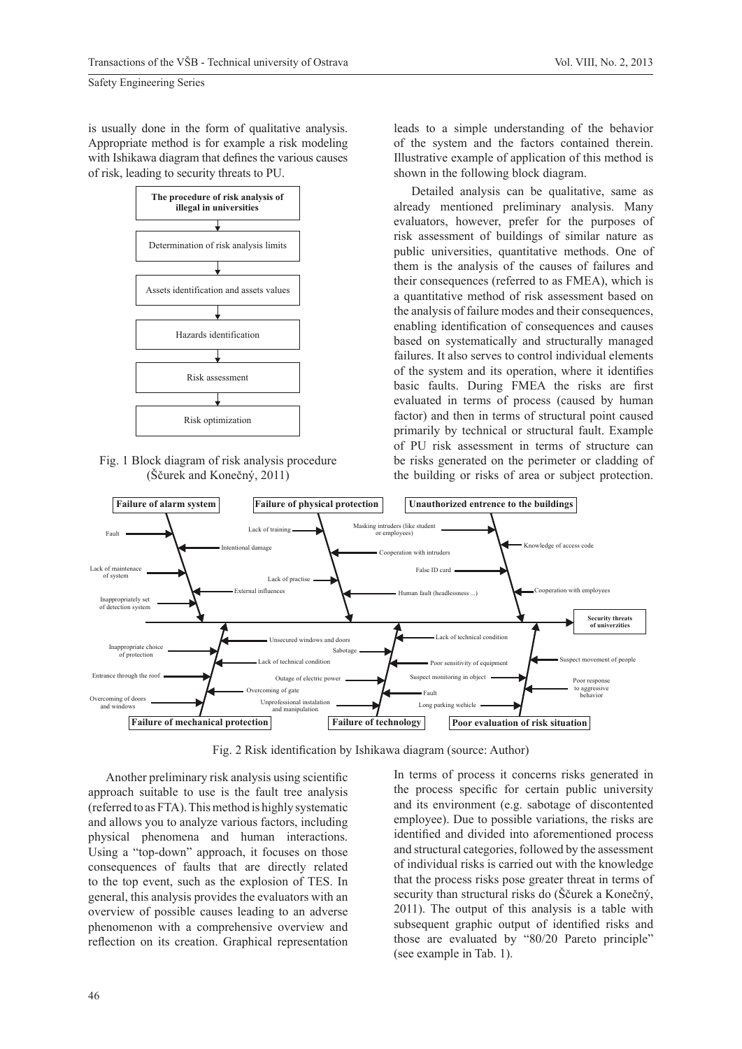is usually done in the form of qualitative analysis. Appropriate method is for example a risk modeling with Ishikawa diagram that defines the various causes of risk, leading to security threats to PU.



Fig. 1 Block diagram of risk analysis procedure (Ščurek and Konečný, 2011)

leads to a simple understanding of the behavior of the system and the factors contained therein. Illustrative example of application of this method is shown in the following block diagram.

Detailed analysis can be qualitative, same as already mentioned preliminary analysis. Many evaluators, however, prefer for the purposes of risk assessment of buildings of similar nature as public universities, quantitative methods. One of them is the analysis of the causes of failures and their consequences (referred to as FMEA), which is a quantitative method of risk assessment based on the analysis of failure modes and their consequences, enabling identification of consequences and causes based on systematically and structurally managed failures. It also serves to control individual elements of the system and its operation, where it identifies basic faults. During FMEA the risks are first evaluated in terms of process (caused by human factor) and then in terms of structural point caused primarily by technical or structural fault. Example of PU risk assessment in terms of structure can be risks generated on the perimeter or cladding of the building or risks of area or subject protection.



Fig. 2 Risk identification by Ishikawa diagram (source: Author)

Another preliminary risk analysis using scientific approach suitable to use is the fault tree analysis (referred to as FTA). This method is highly systematic and allows you to analyze various factors, including physical phenomena and human interactions. Using a "top-down" approach, it focuses on those consequences of faults that are directly related to the top event, such as the explosion of TES. In general, this analysis provides the evaluators with an overview of possible causes leading to an adverse phenomenon with a comprehensive overview and reflection on its creation. Graphical representation

In terms of process it concerns risks generated in the process specific for certain public university and its environment (e.g. sabotage of discontented employee). Due to possible variations, the risks are identified and divided into aforementioned process and structural categories, followed by the assessment of individual risks is carried out with the knowledge that the process risks pose greater threat in terms of security than structural risks do (Ščurek a Konečný, 2011). The output of this analysis is a table with subsequent graphic output of identified risks and those are evaluated by "80/20 Pareto principle" (see example in Tab. 1).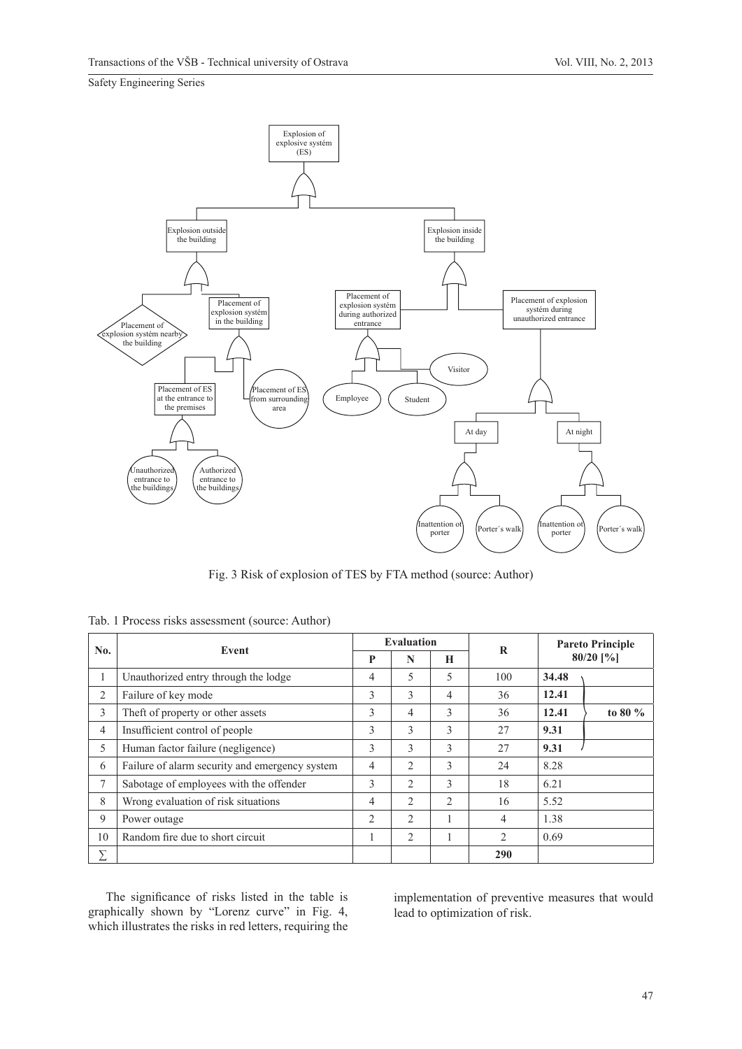

Fig. 3 Risk of explosion of TES by FTA method (source: Author)

|     | Event                                          |                | <b>Evaluation</b> |                |     | <b>Pareto Principle</b><br>$80/20$ [%] |            |
|-----|------------------------------------------------|----------------|-------------------|----------------|-----|----------------------------------------|------------|
| No. |                                                |                | N                 | H              | R   |                                        |            |
|     | Unauthorized entry through the lodge           | $\overline{4}$ | 5                 | 5              | 100 | 34.48                                  |            |
| 2   | Failure of key mode                            | 3              | 3                 | $\overline{4}$ | 36  | 12.41                                  |            |
| 3   | The ft of property or other assets             | $\mathcal{E}$  | $\overline{4}$    | 3              | 36  | 12.41                                  | to 80 $\%$ |
| 4   | Insufficient control of people                 | 3              | 3                 | 3              | 27  | 9.31                                   |            |
| 5   | Human factor failure (negligence)              | 3              | 3                 | 3              | 27  | 9.31                                   |            |
| 6   | Failure of alarm security and emergency system | $\overline{4}$ | 2                 | 3              | 24  | 8.28                                   |            |
| 7   | Sabotage of employees with the offender        | 3              | $\mathcal{L}$     | 3              | 18  | 6.21                                   |            |
| 8   | Wrong evaluation of risk situations            | $\overline{4}$ | $\overline{2}$    | 2              | 16  | 5.52                                   |            |
| 9   | Power outage                                   | $\overline{2}$ | $\mathcal{L}$     | 1              | 4   | 1.38                                   |            |
| 10  | Random fire due to short circuit               |                | 2                 |                | 2   | 0.69                                   |            |
| Σ   |                                                |                |                   |                | 290 |                                        |            |

Tab. 1 Process risks assessment (source: Author)

The significance of risks listed in the table is graphically shown by "Lorenz curve" in Fig. 4, which illustrates the risks in red letters, requiring the

implementation of preventive measures that would lead to optimization of risk.